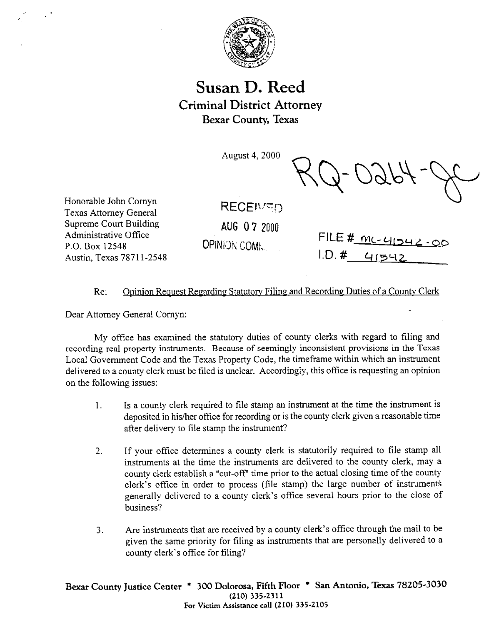

# **Susan D. Reed Criminal District Attorney Bexar County, Texas**

August 4,200O

Udb

Honorable John Comyn Texas Attomev General Supreme Court Building Administrative Office P.O. Box 12548 Austin, Texas 78711-2548

 $RECEIVED$ 

**AUG 07 2000** 

OPINION COM;

| FILE # $mc-41542.00$ |  |
|----------------------|--|
| 1. D. 4 41542        |  |

## Re: Opinion Request Regarding Statutory Filing and Recording Duties of a County Clerk

Dear Attorney General Comyn:

My office has examined the statutory duties of county clerks with regard to filing and recording real property instruments, Because of seemingly inconsistent provisions in the Texas Local Government Code and the Texas Property Code, the timeframe within which an instrument delivered to a county clerk must be tiled is unclear. Accordingly, this office is requesting an opinion on the following issues:

- 1. Is a county clerk required to tile stamp an instrument at the time the instrument is deposited in his/her office for recording or is the county clerk given a reasonable time after delivery to file stamp the instrument?
- 2. If your office determines a county clerk is statutorily required to tile stamp all instruments at the time the instruments are delivered to the county clerk, may a county clerk establish a "cut-off' time prior to the actual closing time of the county clerk's office in order to process (file stamp) the large number of instruments generally delivered to a county clerk's office several hours prior to the close of business?
- 3. Are instruments that are received by a county clerk's office through the mail to be given the same priority for filing as instruments that are personally delivered to a county clerk's office for filing?

Bexar County Justice Center \* 300 Dolorosa, Fifth Floor \* San Antonio, Texas 78205-3030<br>(210) 335-2311 **(210) 3352311**  For Victim Assistance call  $(210)$  335-2105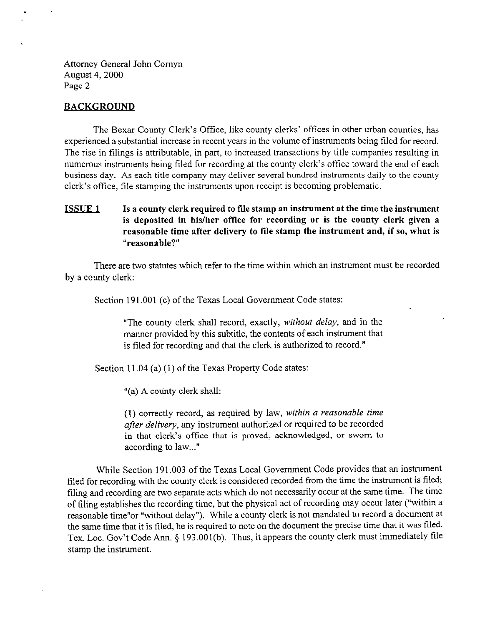Attorney General John Comyn August 4,200O Page 2

#### **BACKGROUND**

The Bexar County Clerk's Office, like county clerks' offices in other urban counties, has experienced a substantial increase in recent years in the volume of instruments being filed for record. The rise in tilings is attributable, in part, to increased transactions by title companies resulting in numerous instruments being tiled for recording at the county clerk's office toward the end of each business day. As each title company may deliver several hundred instruments daily to the county clerk's office, file stamping the instruments upon receipt is becoming problematic.

### **ISSUE 1 Is a county clerk required to tile stamp an instrument at the time the instrument is deposited in hisiher oftice for recording or is the county clerk given a reasonable time after delivery to tile stamp the instrument and, if so, what is "reasonable?"**

There are two statutes which refer to the time within which an instrument must be recorded by a county clerk:

Section 191.001 (c) of the Texas Local Government Code states:

"The county clerk shall record, exactly, wifhout *delay,* and in the manner provided by this subtitle, the contents of each instrument that is tiled for recording and that the clerk is authorized to record."

Section 11.04 (a) (1) of the Texas Property Code states:

"(a) A county clerk shall:

(1) correctly record, as required by law, within a reasonable time after *delivery,* any instrument authorized or required to be recorded in that clerk's office that is proved, acknowledged, or sworn to according to law..."

While Section 191,003 of the Texas Local Government Code provides that an instrument filed for recording with the county clerk is considered recorded from the time the instrument is filed; filing and recording are two separate acts which do not necessarily occur at the same time. The time of tiling establishes the recording time, but the physical act of recording may occur later ("within a reasonable time"or "without delay"). While a county clerk is not mandated to record a document at the same time that it is filed, he is required to note on the document the precise time that it was filed. Tex. Loc. Gov't Code Ann. § 193.001(b). Thus, it appears the county clerk must immediately file stamp the instrument.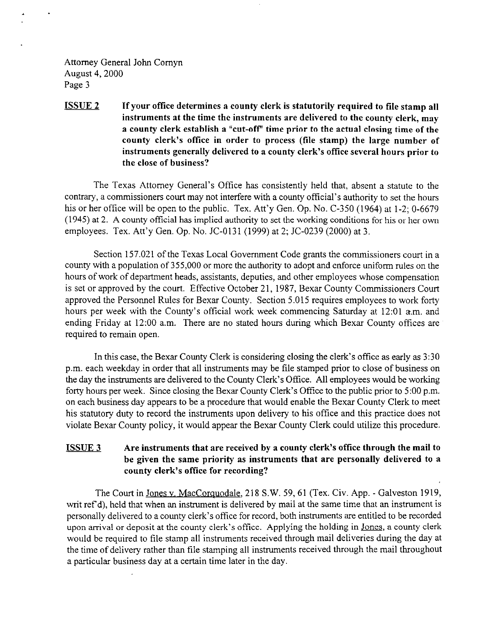Attorney General John Comyn August 4,200O Page 3

1 .

## **<u>ISSUE 2</u> If your office determines a county clerk is statutorily required to file stamp all instruments at the time the instruments are delivered to the county clerk, may a county clerk establish a "cut-oft" time prior to the actual closing time of the**  county clerk's office in order to process (file stamp) the large number of **instruments generally delivered to a county clerk's office several hours prior to the close of business?**

The Texas Attorney General's Office has consistently held that, absent a statute to the contrary, a commissioners court may not interfere with a county official's authority to set the hours his or her office will be open to the public. Tex. Att'y Gen. Op. No. C-350 (1964) at 1-2; 0-6679 (1945) at 2. A county official has implied authority to set the working conditions for his or her own employees. Tex. Att'y Gen. Op. No. JC-0131 (1999) at 2; JC-0239 (2000) at 3.

Section 157.021 of the Texas Local Government Code grants the commissioners court in a county with a population of 355,000 or more the authority to adopt and enforce uniform rules on the hours of work of department heads, assistants, deputies, and other employees whose compensation is set or approved by the court. Effective October 21, 1987, Bexar County Commissioners Court approved the Personnel Rules for Bexar County. Section 5.015 requires employees to work forty hours per week with the County's official work week commencing Saturday at 12:Ol a.m. and ending Friday at 12:OO a.m. There are no stated hours during which Bexar County offices are required to remain open.

In this case, the Bexar County Clerk is considering closing the clerk's office as early as 3:30 p.m. each weekday in order that all instruments may be tile stamped prior to close of business on the day the instruments are delivered to the County Clerk's Offtce. All employees would be working forty hours per week. Since closing the Bexar County Clerk's Office to the public prior to 5:00 p.m. on each business day appears to be a procedure that would enable the Bexar County Clerk to meet his statutory duty to record the instruments upon delivery to his office and this practice does not violate Bexar County policy, it would appear the Bexar County Clerk could utilize this procedure.

# **ISSUE 3 Are instruments that are received by a county clerk's office through the mail to be given the same priority as instruments that are personally delivered to a county clerk's office for recording?**

The Court in Jones v. MacCorquodale, 218 S.W. 59, 61 (Tex. Civ. App. - Galveston 1919, writ ref'd), held that when an instrument is delivered by mail at the same time that an instrument is personally delivered to a county clerk's office for record, both instruments are entitled to be recorded upon arrival or deposit at the county clerk's office. Applying the holding in Jones, a county clerk would be required to tile stamp all instruments received through mail deliveries during the day at the time of delivery rather than tile stamping all instruments received through the mail throughout a particular business day at a certain time later in the day.